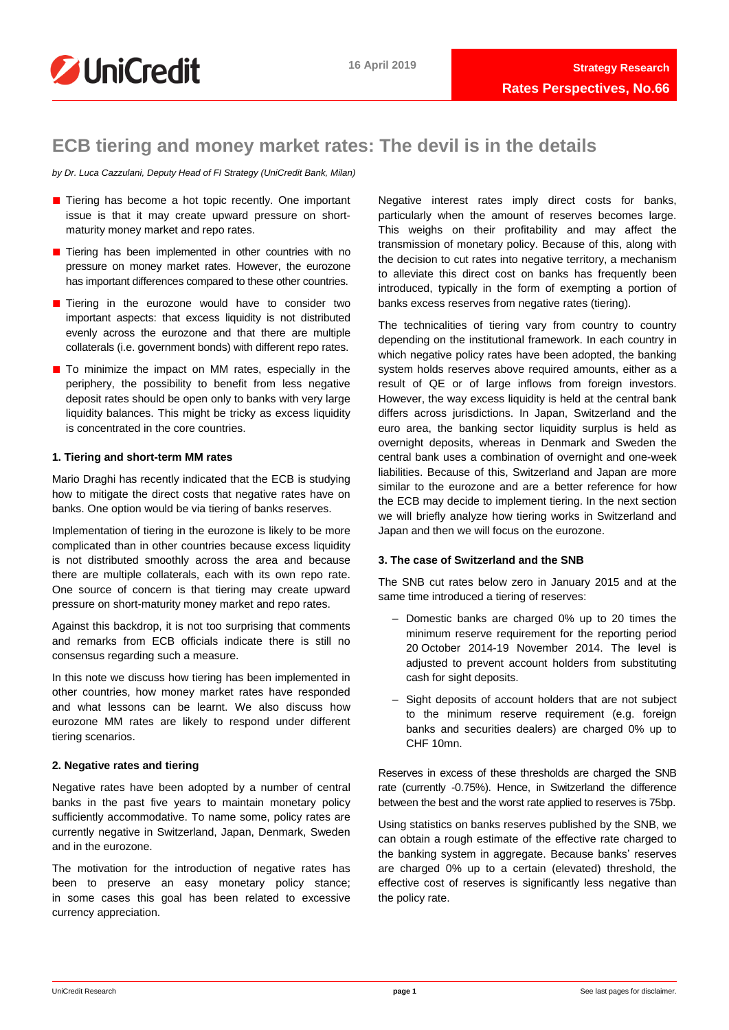

# **ECB tiering and money market rates: The devil is in the details**

*by Dr. Luca Cazzulani, Deputy Head of FI Strategy (UniCredit Bank, Milan)*

- Tiering has become a hot topic recently. One important issue is that it may create upward pressure on shortmaturity money market and repo rates.
- Tiering has been implemented in other countries with no pressure on money market rates. However, the eurozone has important differences compared to these other countries.
- Tiering in the eurozone would have to consider two important aspects: that excess liquidity is not distributed evenly across the eurozone and that there are multiple collaterals (i.e. government bonds) with different repo rates.
- To minimize the impact on MM rates, especially in the periphery, the possibility to benefit from less negative deposit rates should be open only to banks with very large liquidity balances. This might be tricky as excess liquidity is concentrated in the core countries.

#### **1. Tiering and short-term MM rates**

Mario Draghi has recently indicated that the ECB is studying how to mitigate the direct costs that negative rates have on banks. One option would be via tiering of banks reserves.

Implementation of tiering in the eurozone is likely to be more complicated than in other countries because excess liquidity is not distributed smoothly across the area and because there are multiple collaterals, each with its own repo rate. One source of concern is that tiering may create upward pressure on short-maturity money market and repo rates.

Against this backdrop, it is not too surprising that comments and remarks from ECB officials indicate there is still no consensus regarding such a measure.

In this note we discuss how tiering has been implemented in other countries, how money market rates have responded and what lessons can be learnt. We also discuss how eurozone MM rates are likely to respond under different tiering scenarios.

#### **2. Negative rates and tiering**

Negative rates have been adopted by a number of central banks in the past five years to maintain monetary policy sufficiently accommodative. To name some, policy rates are currently negative in Switzerland, Japan, Denmark, Sweden and in the eurozone.

The motivation for the introduction of negative rates has been to preserve an easy monetary policy stance; in some cases this goal has been related to excessive currency appreciation.

Negative interest rates imply direct costs for banks, particularly when the amount of reserves becomes large. This weighs on their profitability and may affect the transmission of monetary policy. Because of this, along with the decision to cut rates into negative territory, a mechanism to alleviate this direct cost on banks has frequently been introduced, typically in the form of exempting a portion of banks excess reserves from negative rates (tiering).

The technicalities of tiering vary from country to country depending on the institutional framework. In each country in which negative policy rates have been adopted, the banking system holds reserves above required amounts, either as a result of QE or of large inflows from foreign investors. However, the way excess liquidity is held at the central bank differs across jurisdictions. In Japan, Switzerland and the euro area, the banking sector liquidity surplus is held as overnight deposits, whereas in Denmark and Sweden the central bank uses a combination of overnight and one-week liabilities. Because of this, Switzerland and Japan are more similar to the eurozone and are a better reference for how the ECB may decide to implement tiering. In the next section we will briefly analyze how tiering works in Switzerland and Japan and then we will focus on the eurozone.

### **3. The case of Switzerland and the SNB**

The SNB cut rates below zero in January 2015 and at the same time introduced a tiering of reserves:

- Domestic banks are charged 0% up to 20 times the minimum reserve requirement for the reporting period 20 October 2014-19 November 2014. The level is adjusted to prevent account holders from substituting cash for sight deposits.
- Sight deposits of account holders that are not subject to the minimum reserve requirement (e.g. foreign banks and securities dealers) are charged 0% up to CHF 10mn.

Reserves in excess of these thresholds are charged the SNB rate (currently -0.75%). Hence, in Switzerland the difference between the best and the worst rate applied to reserves is 75bp.

Using statistics on banks reserves published by the SNB, we can obtain a rough estimate of the effective rate charged to the banking system in aggregate. Because banks' reserves are charged 0% up to a certain (elevated) threshold, the effective cost of reserves is significantly less negative than the policy rate.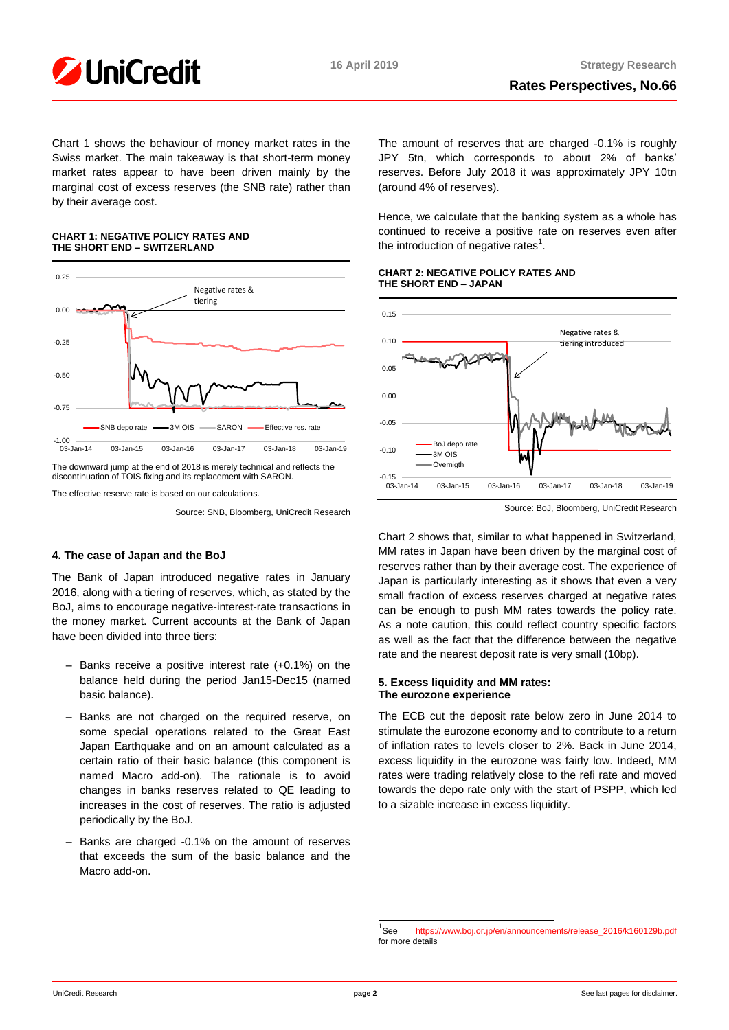

Chart 1 shows the behaviour of money market rates in the Swiss market. The main takeaway is that short-term money market rates appear to have been driven mainly by the marginal cost of excess reserves (the SNB rate) rather than by their average cost.

### **CHART 1: NEGATIVE POLICY RATES AND THE SHORT END – SWITZERLAND**



Source: SNB, Bloomberg, UniCredit Research

## **4. The case of Japan and the BoJ**

The Bank of Japan introduced negative rates in January 2016, along with a tiering of reserves, which, as stated by the BoJ, aims to encourage negative-interest-rate transactions in the money market. Current accounts at the Bank of Japan have been divided into three tiers:

- Banks receive a positive interest rate (+0.1%) on the balance held during the period Jan15-Dec15 (named basic balance).
- Banks are not charged on the required reserve, on some special operations related to the Great East Japan Earthquake and on an amount calculated as a certain ratio of their basic balance (this component is named Macro add-on). The rationale is to avoid changes in banks reserves related to QE leading to increases in the cost of reserves. The ratio is adjusted periodically by the BoJ.
- Banks are charged -0.1% on the amount of reserves that exceeds the sum of the basic balance and the Macro add-on.

The amount of reserves that are charged -0.1% is roughly JPY 5tn, which corresponds to about 2% of banks' reserves. Before July 2018 it was approximately JPY 10tn (around 4% of reserves).

Hence, we calculate that the banking system as a whole has continued to receive a positive rate on reserves even after the introduction of negative rates $<sup>1</sup>$ .</sup>

#### **CHART 2: NEGATIVE POLICY RATES AND THE SHORT END – JAPAN**



Source: BoJ, Bloomberg, UniCredit Research

Chart 2 shows that, similar to what happened in Switzerland, MM rates in Japan have been driven by the marginal cost of reserves rather than by their average cost. The experience of Japan is particularly interesting as it shows that even a very small fraction of excess reserves charged at negative rates can be enough to push MM rates towards the policy rate. As a note caution, this could reflect country specific factors as well as the fact that the difference between the negative rate and the nearest deposit rate is very small (10bp).

### **5. Excess liquidity and MM rates: The eurozone experience**

The ECB cut the deposit rate below zero in June 2014 to stimulate the eurozone economy and to contribute to a return of inflation rates to levels closer to 2%. Back in June 2014, excess liquidity in the eurozone was fairly low. Indeed, MM rates were trading relatively close to the refi rate and moved towards the depo rate only with the start of PSPP, which led to a sizable increase in excess liquidity.

 1 [https://www.boj.or.jp/en/announcements/release\\_2016/k160129b.pdf](https://www.boj.or.jp/en/announcements/release_2016/k160129b.pdf) for more details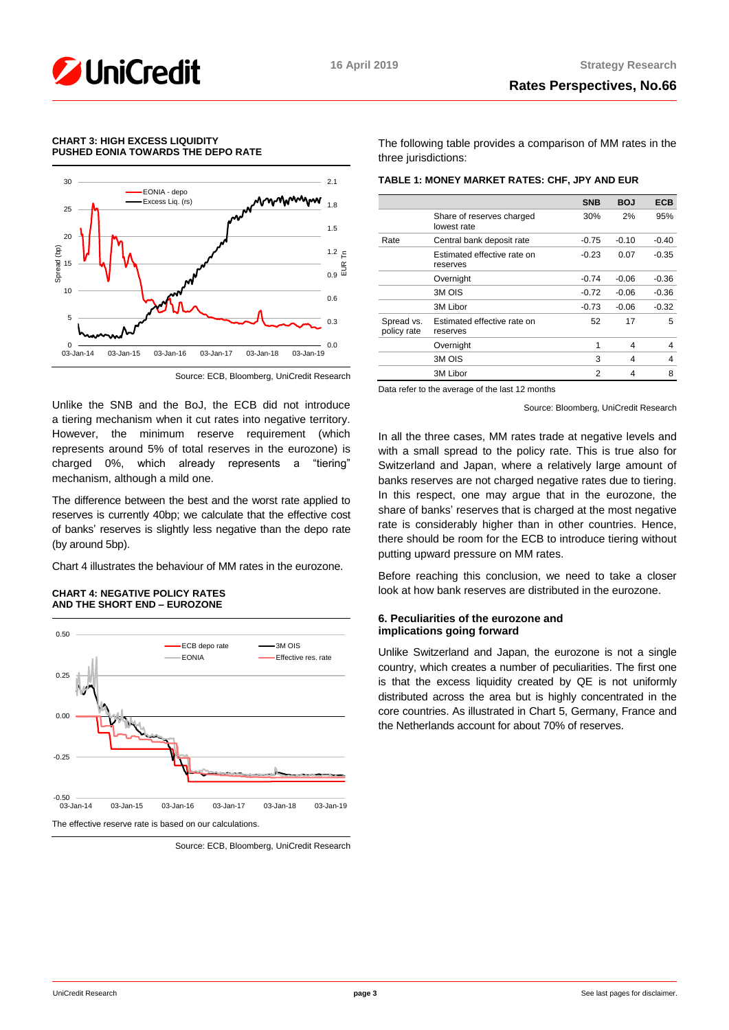

#### **CHART 3: HIGH EXCESS LIQUIDITY PUSHED EONIA TOWARDS THE DEPO RATE**



Source: ECB, Bloomberg, UniCredit Research

Unlike the SNB and the BoJ, the ECB did not introduce a tiering mechanism when it cut rates into negative territory. However, the minimum reserve requirement (which represents around 5% of total reserves in the eurozone) is charged 0%, which already represents a "tiering" mechanism, although a mild one.

The difference between the best and the worst rate applied to reserves is currently 40bp; we calculate that the effective cost of banks' reserves is slightly less negative than the depo rate (by around 5bp).

Chart 4 illustrates the behaviour of MM rates in the eurozone.

#### **CHART 4: NEGATIVE POLICY RATES AND THE SHORT END – EUROZONE**



Source: ECB, Bloomberg, UniCredit Research

The following table provides a comparison of MM rates in the three jurisdictions:

| TABLE 1: MONEY MARKET RATES: CHF, JPY AND EUR |  |  |  |
|-----------------------------------------------|--|--|--|
|                                               |  |  |  |

|                           |                                          | <b>SNB</b> | <b>BOJ</b> | <b>ECB</b> |
|---------------------------|------------------------------------------|------------|------------|------------|
|                           | Share of reserves charged<br>lowest rate | 30%        | 2%         | 95%        |
| Rate                      | Central bank deposit rate                | $-0.75$    | $-0.10$    | $-0.40$    |
|                           | Estimated effective rate on<br>reserves  | $-0.23$    | 0.07       | $-0.35$    |
|                           | Overnight                                | $-0.74$    | $-0.06$    | $-0.36$    |
|                           | 3M OIS                                   | $-0.72$    | $-0.06$    | $-0.36$    |
|                           | 3M Libor                                 | $-0.73$    | $-0.06$    | $-0.32$    |
| Spread vs.<br>policy rate | Estimated effective rate on<br>reserves  | 52         | 17         | 5          |
|                           | Overnight                                | 1          | 4          | 4          |
|                           | 3M OIS                                   | 3          | 4          | 4          |
|                           | 3M Libor                                 | 2          | 4          | 8          |

Data refer to the average of the last 12 months

Source: Bloomberg, UniCredit Research

In all the three cases, MM rates trade at negative levels and with a small spread to the policy rate. This is true also for Switzerland and Japan, where a relatively large amount of banks reserves are not charged negative rates due to tiering. In this respect, one may argue that in the eurozone, the share of banks' reserves that is charged at the most negative rate is considerably higher than in other countries. Hence, there should be room for the ECB to introduce tiering without putting upward pressure on MM rates.

Before reaching this conclusion, we need to take a closer look at how bank reserves are distributed in the eurozone.

#### **6. Peculiarities of the eurozone and implications going forward**

Unlike Switzerland and Japan, the eurozone is not a single country, which creates a number of peculiarities. The first one is that the excess liquidity created by QE is not uniformly distributed across the area but is highly concentrated in the core countries. As illustrated in Chart 5, Germany, France and the Netherlands account for about 70% of reserves.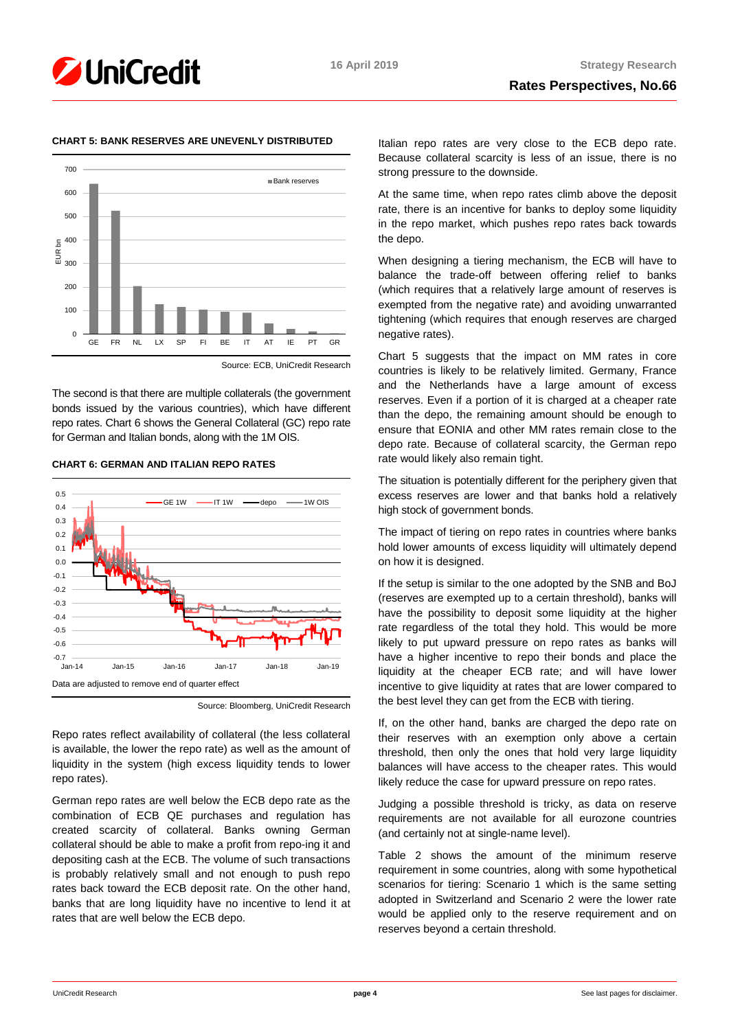



## **CHART 5: BANK RESERVES ARE UNEVENLY DISTRIBUTED**

The second is that there are multiple collaterals (the government bonds issued by the various countries), which have different repo rates. Chart 6 shows the General Collateral (GC) repo rate for German and Italian bonds, along with the 1M OIS.

#### **CHART 6: GERMAN AND ITALIAN REPO RATES**



Source: Bloomberg, UniCredit Research

Repo rates reflect availability of collateral (the less collateral is available, the lower the repo rate) as well as the amount of liquidity in the system (high excess liquidity tends to lower repo rates).

German repo rates are well below the ECB depo rate as the combination of ECB QE purchases and regulation has created scarcity of collateral. Banks owning German collateral should be able to make a profit from repo-ing it and depositing cash at the ECB. The volume of such transactions is probably relatively small and not enough to push repo rates back toward the ECB deposit rate. On the other hand, banks that are long liquidity have no incentive to lend it at rates that are well below the ECB depo.

Italian repo rates are very close to the ECB depo rate. Because collateral scarcity is less of an issue, there is no strong pressure to the downside.

At the same time, when repo rates climb above the deposit rate, there is an incentive for banks to deploy some liquidity in the repo market, which pushes repo rates back towards the depo.

When designing a tiering mechanism, the ECB will have to balance the trade-off between offering relief to banks (which requires that a relatively large amount of reserves is exempted from the negative rate) and avoiding unwarranted tightening (which requires that enough reserves are charged negative rates).

Chart 5 suggests that the impact on MM rates in core countries is likely to be relatively limited. Germany, France and the Netherlands have a large amount of excess reserves. Even if a portion of it is charged at a cheaper rate than the depo, the remaining amount should be enough to ensure that EONIA and other MM rates remain close to the depo rate. Because of collateral scarcity, the German repo rate would likely also remain tight.

The situation is potentially different for the periphery given that excess reserves are lower and that banks hold a relatively high stock of government bonds.

The impact of tiering on repo rates in countries where banks hold lower amounts of excess liquidity will ultimately depend on how it is designed.

If the setup is similar to the one adopted by the SNB and BoJ (reserves are exempted up to a certain threshold), banks will have the possibility to deposit some liquidity at the higher rate regardless of the total they hold. This would be more likely to put upward pressure on repo rates as banks will have a higher incentive to repo their bonds and place the liquidity at the cheaper ECB rate; and will have lower incentive to give liquidity at rates that are lower compared to the best level they can get from the ECB with tiering.

If, on the other hand, banks are charged the depo rate on their reserves with an exemption only above a certain threshold, then only the ones that hold very large liquidity balances will have access to the cheaper rates. This would likely reduce the case for upward pressure on repo rates.

Judging a possible threshold is tricky, as data on reserve requirements are not available for all eurozone countries (and certainly not at single-name level).

Table 2 shows the amount of the minimum reserve requirement in some countries, along with some hypothetical scenarios for tiering: Scenario 1 which is the same setting adopted in Switzerland and Scenario 2 were the lower rate would be applied only to the reserve requirement and on reserves beyond a certain threshold.

Source: ECB, UniCredit Research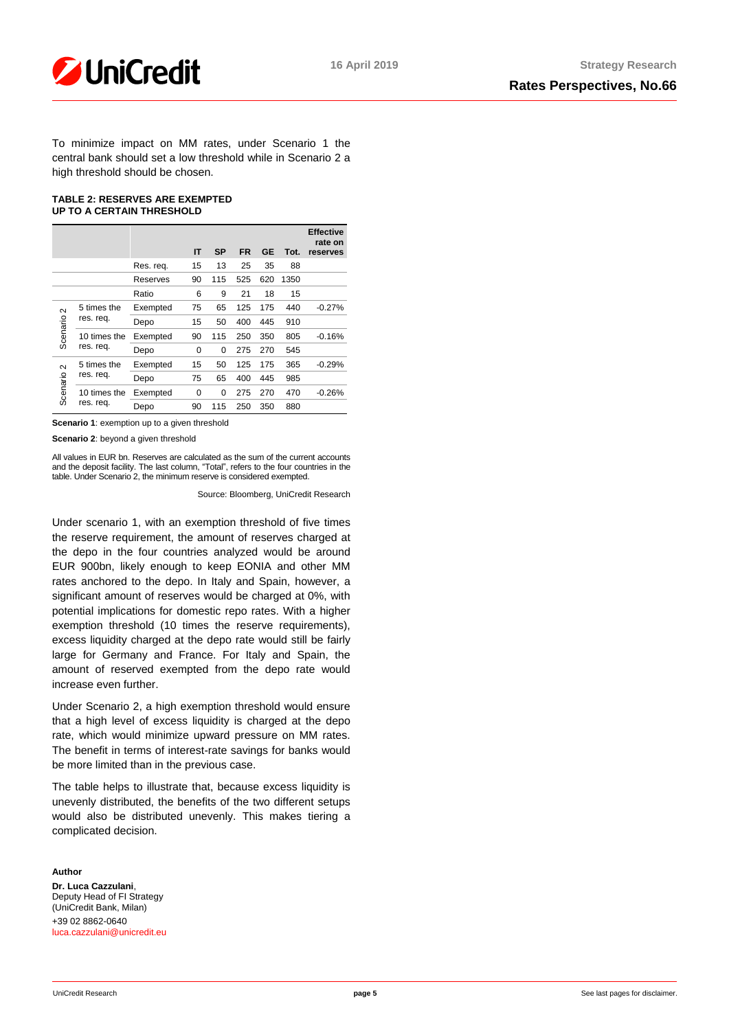

To minimize impact on MM rates, under Scenario 1 the central bank should set a low threshold while in Scenario 2 a high threshold should be chosen.

#### **TABLE 2: RESERVES ARE EXEMPTED UP TO A CERTAIN THRESHOLD**

|                       |                          |           | IT       | <b>SP</b> | <b>FR</b> | GE  | Tot. | <b>Effective</b><br>rate on<br>reserves |
|-----------------------|--------------------------|-----------|----------|-----------|-----------|-----|------|-----------------------------------------|
|                       |                          | Res. reg. | 15       | 13        | 25        | 35  | 88   |                                         |
|                       |                          | Reserves  | 90       | 115       | 525       | 620 | 1350 |                                         |
|                       |                          | Ratio     | 6        | 9         | 21        | 18  | 15   |                                         |
| $\sim$<br>Scenario    | 5 times the<br>res. req. | Exempted  | 75       | 65        | 125       | 175 | 440  | $-0.27%$                                |
|                       |                          | Depo      | 15       | 50        | 400       | 445 | 910  |                                         |
|                       | 10 times the             | Exempted  | 90       | 115       | 250       | 350 | 805  | $-0.16%$                                |
|                       | res. req.                | Depo      | $\Omega$ | 0         | 275       | 270 | 545  |                                         |
| Scenario <sub>2</sub> | 5 times the<br>res. req. | Exempted  | 15       | 50        | 125       | 175 | 365  | $-0.29%$                                |
|                       |                          | Depo      | 75       | 65        | 400       | 445 | 985  |                                         |
|                       | 10 times the             | Exempted  | $\Omega$ | $\Omega$  | 275       | 270 | 470  | $-0.26%$                                |
|                       | res. req.                | Depo      | 90       | 115       | 250       | 350 | 880  |                                         |

**Scenario 1**: exemption up to a given threshold

**Scenario 2**: beyond a given threshold

All values in EUR bn. Reserves are calculated as the sum of the current accounts and the deposit facility. The last column, "Total", refers to the four countries in the table. Under Scenario 2, the minimum reserve is considered exempted.

Source: Bloomberg, UniCredit Research

Under scenario 1, with an exemption threshold of five times the reserve requirement, the amount of reserves charged at the depo in the four countries analyzed would be around EUR 900bn, likely enough to keep EONIA and other MM rates anchored to the depo. In Italy and Spain, however, a significant amount of reserves would be charged at 0%, with potential implications for domestic repo rates. With a higher exemption threshold (10 times the reserve requirements), excess liquidity charged at the depo rate would still be fairly large for Germany and France. For Italy and Spain, the amount of reserved exempted from the depo rate would increase even further.

Under Scenario 2, a high exemption threshold would ensure that a high level of excess liquidity is charged at the depo rate, which would minimize upward pressure on MM rates. The benefit in terms of interest-rate savings for banks would be more limited than in the previous case.

The table helps to illustrate that, because excess liquidity is unevenly distributed, the benefits of the two different setups would also be distributed unevenly. This makes tiering a complicated decision.

#### **Author**

**Dr. Luca Cazzulani**, Deputy Head of FI Strategy (UniCredit Bank, Milan) +39 02 8862-0640 [luca.cazzulani@unicredit.eu](mailto:luca.cazzulani@unicredit.eu)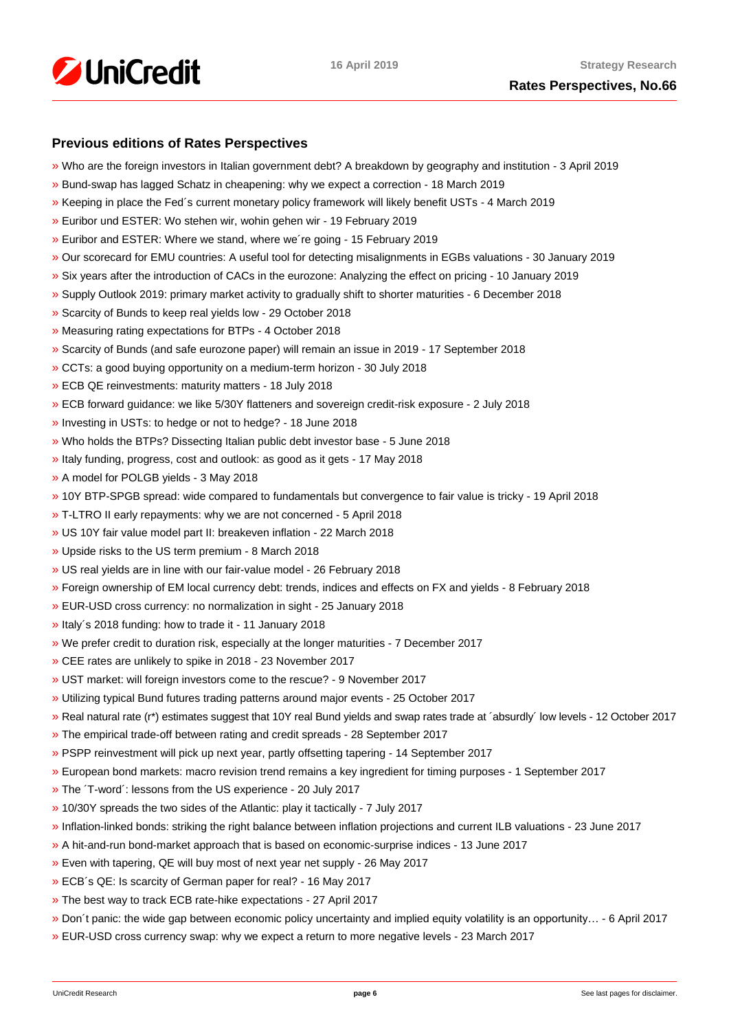

## **Previous editions of Rates Perspectives**

- [»](https://www.research.unicredit.eu/DocsKey/fxfistrategy_docs_2019_170284.ashx?EXT=pdf&KEY=KZGTuQCn4lsvclJnUgseVEGHysWJl2NsEwG0xblWxFK9BVQAB4eryA==&T=1) Who are the foreign investors in Italian government debt? A breakdown by geography and institution 3 April 2019
- [»](https://www.research.unicredit.eu/DocsKey/fxfistrategy_docs_2019_170066.ashx?EXT=pdf&KEY=KZGTuQCn4lsvclJnUgseVEGHysWJl2NsNOWCS-vPqTdpZhijXIyJ5Q==&T=1) Bund-swap has lagged Schatz in cheapening: why we expect a correction 18 March 2019
- [»](https://www.research.unicredit.eu/DocsKey/fxfistrategy_docs_2019_169883.ashx?EXT=pdf&KEY=KZGTuQCn4lsvclJnUgseVEGHysWJl2Nsz9dXRsXwpAsZUUpCjW9eRw==&T=1) Keeping in place the Fed´s current monetary policy framework will likely benefit USTs 4 March 2019
- [»](https://www.research.unicredit.eu/DocsKey/fxfistrategy_docs_2019_169737.ashx?EXT=pdf&KEY=KZGTuQCn4lsvclJnUgseVEGHysWJl2NsVk__5HHS-wtgogqSIYe_pg==&T=1) Euribor und ESTER: Wo stehen wir, wohin gehen wir 19 February 2019
- [»](https://www.research.unicredit.eu/DocsKey/fxfistrategy_docs_2019_169681.ashx?EXT=pdf&KEY=KZGTuQCn4lsvclJnUgseVEGHysWJl2NsvFsIe2gTc3YHhaYXz8CyMQ==&T=1) Euribor and ESTER: Where we stand, where we´re going 15 February 2019
- [»](https://www.research.unicredit.eu/DocsKey/fxfistrategy_docs_2019_168976.ashx?EXT=pdf&KEY=KZGTuQCn4lsvclJnUgseVEGHysWJl2NsBRIhGRL9OpCAofKNpRdbqw==&T=1) Our scorecard for EMU countries: A useful tool for detecting misalignments in EGBs valuations 30 January 2019
- [»](https://www.research.unicredit.eu/DocsKey/fxfistrategy_docs_2019_168690.ashx?EXT=pdf&KEY=KZGTuQCn4lsvclJnUgseVEGHysWJl2Ns6zwNCeXNSn5_WEAdcnzkSw==&T=1) Six years after the introduction of CACs in the eurozone: Analyzing the effect on pricing 10 January 2019
- [»](https://www.research.unicredit.eu/DocsKey/fxfistrategy_docs_2018_168081.ashx?EXT=pdf&KEY=KZGTuQCn4lsvclJnUgseVGkpNcRXR5-WdODblZpTi0A4RE9IYOSOOA==&T=1) Supply Outlook 2019: primary market activity to gradually shift to shorter maturities 6 December 2018
- [»](https://www.research.unicredit.eu/DocsKey/fxfistrategy_docs_2018_167651.ashx?EXT=pdf&KEY=KZGTuQCn4lsvclJnUgseVGkpNcRXR5-WLbIUypeIHxyD3rdrNgjwjg==&T=1) Scarcity of Bunds to keep real yields low 29 October 2018
- [»](https://www.research.unicredit.eu/DocsKey/fxfistrategy_docs_2018_167362.ashx?EXT=pdf&KEY=KZGTuQCn4lsvclJnUgseVGkpNcRXR5-W7gOokc4_UKGkd-Hy3Wx_vg==&T=1) Measuring rating expectations for BTPs 4 October 2018
- [»](https://www.research.unicredit.eu/DocsKey/fxfistrategy_docs_2018_167162.ashx?EXT=pdf&KEY=KZGTuQCn4lsvclJnUgseVGkpNcRXR5-WLonU6aW-riDJHVt4RBRKJQ==&T=1) Scarcity of Bunds (and safe eurozone paper) will remain an issue in 2019 17 September 2018
- [»](https://www.research.unicredit.eu/DocsKey/fxfistrategy_docs_2018_166735.ashx?EXT=pdf&KEY=KZGTuQCn4lsvclJnUgseVGkpNcRXR5-WJcyLXLDNCHrk_1IGoA85eQ==&T=1) CCTs: a good buying opportunity on a medium-term horizon 30 July 2018
- [»](https://www.research.unicredit.eu/DocsKey/fxfistrategy_docs_2018_165506.ashx?EXT=pdf&KEY=KZGTuQCn4lsvclJnUgseVGkpNcRXR5-WelAdBLCjwv2CsrEf1G_7vA==&T=1) ECB QE reinvestments: maturity matters 18 July 2018
- [»](https://www.research.unicredit.eu/DocsKey/fxfistrategy_docs_2018_165296.ashx?EXT=pdf&KEY=KZGTuQCn4lsvclJnUgseVGkpNcRXR5-Wl83fmK6epfPJRPrdFbpp8A==&T=1) ECB forward guidance: we like 5/30Y flatteners and sovereign credit-risk exposure 2 July 2018
- [»](https://www.research.unicredit.eu/DocsKey/fxfistrategy_docs_2018_165113.ashx?EXT=pdf&KEY=KZGTuQCn4lsvclJnUgseVGkpNcRXR5-WdMw8JSHF2Ih6d0UhMlk5iA==&T=1) Investing in USTs: to hedge or not to hedge? 18 June 2018
- [»](https://www.research.unicredit.eu/DocsKey/fxfistrategy_docs_2018_164967.ashx?EXT=pdf&KEY=KZGTuQCn4lsvclJnUgseVGkpNcRXR5-WLoNFhsvJBXHbE69WfFEurg==&T=1) Who holds the BTPs? Dissecting Italian public debt investor base 5 June 2018
- [»](https://www.research.unicredit.eu/DocsKey/fxfistrategy_docs_2018_164775.ashx?EXT=pdf&KEY=KZGTuQCn4lsvclJnUgseVGkpNcRXR5-WZF21zKfJuZ_5iLWWjJ2GpQ==&T=1) Italy funding, progress, cost and outlook: as good as it gets 17 May 2018
- [»](https://www.research.unicredit.eu/DocsKey/fxfistrategy_docs_2018_164589.ashx?EXT=pdf&KEY=KZGTuQCn4lsvclJnUgseVGkpNcRXR5-WHckxsj1laTH6N7QU0C6uzQ==&T=1) A model for POLGB yields 3 May 2018
- [»](https://www.research.unicredit.eu/DocsKey/fxfistrategy_docs_2018_164411.ashx?EXT=pdf&KEY=KZGTuQCn4lsvclJnUgseVGkpNcRXR5-W4Dmv9B6O0atd94s-0yUFlA==&T=1) 10Y BTP-SPGB spread: wide compared to fundamentals but convergence to fair value is tricky 19 April 2018
- [»](https://www.research.unicredit.eu/DocsKey/fxfistrategy_docs_2018_164242.ashx?EXT=pdf&KEY=KZGTuQCn4lsvclJnUgseVGkpNcRXR5-WFjPeFcDloA2Q8h6v6oWNhw==&T=1) T-LTRO II early repayments: why we are not concerned 5 April 2018
- [»](https://www.research.unicredit.eu/DocsKey/fxfistrategy_docs_2018_164099.ashx?EXT=pdf&KEY=KZGTuQCn4lsvclJnUgseVGkpNcRXR5-WK-s5y8Kxt0FmgxTPbhrZtA==&T=1) US 10Y fair value model part II: breakeven inflation 22 March 2018
- [»](https://www.research.unicredit.eu/DocsKey/fxfistrategy_docs_2018_163914.ashx?EXT=pdf&KEY=KZGTuQCn4lsvclJnUgseVGkpNcRXR5-W6uAyZrmo_juOWp31QBzAwQ==&T=1) Upside risks to the US term premium 8 March 2018
- [»](https://www.research.unicredit.eu/DocsKey/fxfistrategy_docs_2018_163795.ashx?EXT=pdf&KEY=KZGTuQCn4lsvclJnUgseVGkpNcRXR5-W31oteEsRkw-wRr-E75wyXQ==&T=1) US real yields are in line with our fair-value model 26 February 2018
- [»](https://www.research.unicredit.eu/DocsKey/fxfistrategy_docs_2018_163569.ashx?EXT=pdf&KEY=KZGTuQCn4lsvclJnUgseVGkpNcRXR5-WOwinUv5yvR4A_iRZMMXqUg==&T=1) Foreign ownership of EM local currency debt: trends, indices and effects on FX and yields 8 February 2018
- [»](https://www.research.unicredit.eu/DocsKey/fxfistrategy_docs_2018_163350.ashx?EXT=pdf&KEY=KZGTuQCn4lsvclJnUgseVGkpNcRXR5-WSfc0pL8-Nw1KrcsN90zewQ==&T=1) EUR-USD cross currency: no normalization in sight 25 January 2018
- [»](https://www.research.unicredit.eu/DocsKey/fxfistrategy_docs_2018_163165.ashx?EXT=pdf&KEY=KZGTuQCn4lsvclJnUgseVGkpNcRXR5-WizOxQ_qd2pKve_EGsME8pw==&T=1) Italy´s 2018 funding: how to trade it 11 January 2018
- [»](https://www.research.unicredit.eu/DocsKey/fxfistrategy_docs_2017_162876.ashx?EXT=pdf&KEY=KZGTuQCn4lsvclJnUgseVBaZnvdiHIQjhlAgRXaAk9xO-WbIBHzmug==&T=1) We prefer credit to duration risk, especially at the longer maturities 7 December 2017
- [»](https://www.research.unicredit.eu/DocsKey/fxfistrategy_docs_2017_162702.ashx?EXT=pdf&KEY=KZGTuQCn4lsvclJnUgseVBaZnvdiHIQj7kV9jp7KGvx_rQqXOlHcBw==&T=1) CEE rates are unlikely to spike in 2018 23 November 2017
- [»](https://www.research.unicredit.eu/DocsKey/fxfistrategy_docs_2017_162521.ashx?EXT=pdf&KEY=KZGTuQCn4lsvclJnUgseVBaZnvdiHIQjHP5HTV6m0S1CZt4h4v7Z7Q==&T=1) UST market: will foreign investors come to the rescue? 9 November 2017
- [»](https://www.research.unicredit.eu/DocsKey/fxfistrategy_docs_2017_162320.ashx?EXT=pdf&KEY=KZGTuQCn4lsvclJnUgseVBaZnvdiHIQj7vBnJBqFdLl3ZPdTI9qTEg==&T=1) Utilizing typical Bund futures trading patterns around major events 25 October 2017
- [»](https://www.research.unicredit.eu/DocsKey/fxfistrategy_docs_2017_162088.ashx?EXT=pdf&KEY=KZGTuQCn4lsvclJnUgseVBaZnvdiHIQjLG2elrHjRgNsVyg0ExmjEg==&T=1) Real natural rate (r\*) estimates suggest that 10Y real Bund yields and swap rates trade at ´absurdly´ low levels 12 October 2017
- [»](https://www.research.unicredit.eu/DocsKey/fxfistrategy_docs_2017_161898.ashx?EXT=pdf&KEY=KZGTuQCn4lsvclJnUgseVBaZnvdiHIQjrj0KZCHHFHi6OScMLpHSeg==&T=1) The empirical trade-off between rating and credit spreads 28 September 2017
- [»](https://www.research.unicredit.eu/DocsKey/fxfistrategy_docs_2017_161722.ashx?EXT=pdf&KEY=KZGTuQCn4lsvclJnUgseVBaZnvdiHIQj2RiMvOdXRPDdJKTt9ts8Kg==&T=1) PSPP reinvestment will pick up next year, partly offsetting tapering 14 September 2017
- [»](https://www.research.unicredit.eu/DocsKey/fxfistrategy_docs_2017_161534.ashx?EXT=pdf&KEY=KZGTuQCn4lsvclJnUgseVBaZnvdiHIQjVxL97NWBQ2U0RIuZAXWj6Q==&T=1) European bond markets: macro revision trend remains a key ingredient for timing purposes 1 September 2017
- [»](https://www.research.unicredit.eu/DocsKey/fxfistrategy_docs_2017_161025.ashx?EXT=pdf&KEY=KZGTuQCn4lsvclJnUgseVBaZnvdiHIQjHTPE5wRiE1gKKsnUfpC3fQ==&T=1) The ´T-word´: lessons from the US experience 20 July 2017
- [»](https://www.research.unicredit.eu/DocsKey/fxfistrategy_docs_2017_160810.ashx?EXT=pdf&KEY=KZGTuQCn4lsvclJnUgseVBaZnvdiHIQjtaQqMdLfQgUWFRAgBEcyHQ==&T=1) 10/30Y spreads the two sides of the Atlantic: play it tactically 7 July 2017
- [»](https://www.research.unicredit.eu/DocsKey/fxfistrategy_docs_2017_160511.ashx?EXT=pdf&KEY=KZGTuQCn4lsvclJnUgseVBaZnvdiHIQjPT9pq4vd_J0MIyuHYzmaBw==&T=1) Inflation-linked bonds: striking the right balance between inflation projections and current ILB valuations 23 June 2017
- [»](https://www.research.unicredit.eu/DocsKey/fxfistrategy_docs_2017_160322.ashx?EXT=pdf&KEY=KZGTuQCn4lsvclJnUgseVBaZnvdiHIQj1LVUoPnmEtgESKpkaXht5w==&T=1) A hit-and-run bond-market approach that is based on economic-surprise indices 13 June 2017
- [»](https://www.research.unicredit.eu/DocsKey/fxfistrategy_docs_2017_160058.ashx?EXT=pdf&KEY=KZGTuQCn4lsvclJnUgseVBaZnvdiHIQjH5VoE968jPjoHa3tNMC3oA==&T=1) Even with tapering, QE will buy most of next year net supply 26 May 2017
- [»](https://www.research.unicredit.eu/DocsKey/fxfistrategy_docs_2017_159905.ashx?EXT=pdf&KEY=KZGTuQCn4lsvclJnUgseVBaZnvdiHIQj1qWFB6Im-fGVtLgOI6tXRg==&T=1) ECB´s QE: Is scarcity of German paper for real? 16 May 2017
- [»](https://www.research.unicredit.eu/DocsKey/fxfistrategy_docs_2017_159658.ashx?EXT=pdf&KEY=KZGTuQCn4lsvclJnUgseVBaZnvdiHIQj19DebLb_pK-VRY0advYxRg==&T=1) The best way to track ECB rate-hike expectations 27 April 2017
- [»](https://www.research.unicredit.eu/DocsKey/fxfistrategy_docs_2017_159378.ashx?EXT=pdf&KEY=KZGTuQCn4lsvclJnUgseVBaZnvdiHIQjXcZXneUQjFqMfM3UyIOFoA==&T=1) Don´t panic: the wide gap between economic policy uncertainty and implied equity volatility is an opportunity… 6 April 2017
- [»](https://www.research.unicredit.eu/DocsKey/fxfistrategy_docs_2017_159179.ashx?EXT=pdf&KEY=KZGTuQCn4lsvclJnUgseVBaZnvdiHIQjzNJQt0ThYcNuixVg6sqz2Q==&T=1) EUR-USD cross currency swap: why we expect a return to more negative levels 23 March 2017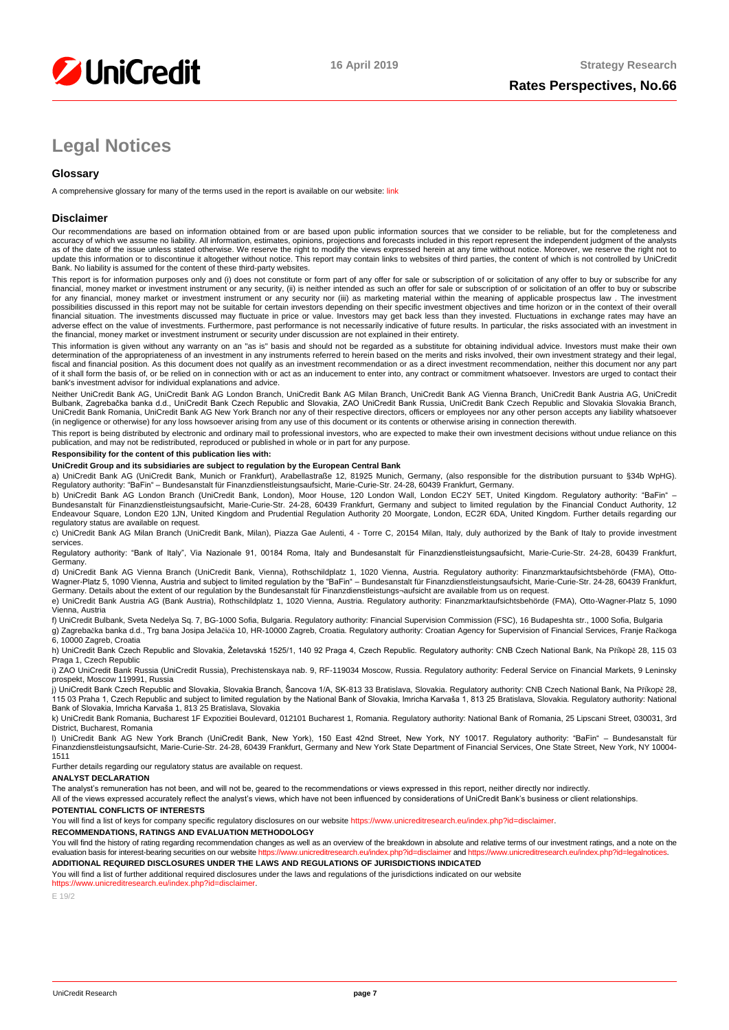

# **Legal Notices**

#### **Glossary**

A comprehensive glossary for many of the terms used in the report is available on our website: [link](https://www.unicreditresearch.eu/index.php?id=glossary)

#### **Disclaimer**

Our recommendations are based on information obtained from or are based upon public information sources that we consider to be reliable, but for the completeness and<br>accuracy of which we assume no liability. All informatio as of the date of the issue unless stated otherwise. We reserve the right to modify the views expressed herein at any time without notice. Moreover, we reserve the right not to<br>update this information or to discontinue it Bank. No liability is assumed for the content of these third-party websites.

This report is for information purposes only and (i) does not constitute or form part of any offer for sale or subscription of or solicitation of any offer to buy or subscribe for any<br>financial, money market or investment for any financial, money market or investment instrument or any security nor (iii) as marketing material within the meaning of applicable prospectus law . The investment<br>possibilities discussed in this report may not be su adverse effect on the value of investments. Furthermore, past performance is not necessarily indicative of future results. In particular, the risks associated with an investment in the financial, money market or investment instrument or security under discussion are not explained in their entirety.

This information is given without any warranty on an "as is" basis and should not be regarded as a substitute for obtaining individual advice. Investors must make their own<br>determination of the appropriateness of an invest of it shall form the basis of, or be relied on in connection with or act as an inducement to enter into, any contract or commitment whatsoever. Investors are urged to contact their bank's investment advisor for individual explanations and advice.

Neither UniCredit Bank AG, UniCredit Bank AG London Branch, UniCredit Bank AG Milan Branch, UniCredit Banch, AmiCredit Bank Austria AG, UniCredit Bank Austria AG, UniCredit<br>Bulbank, Zagrebačka banka d.d., UniCredit Bank Cz (in negligence or otherwise) for any loss howsoever arising from any use of this document or its contents or otherwise arising in connection therewith.

This report is being distributed by electronic and ordinary mail to professional investors, who are expected to make their own investment decisions without undue reliance on this publication, and may not be redistributed, reproduced or published in whole or in part for any purpose.

#### **Responsibility for the content of this publication lies with:**

#### **UniCredit Group and its subsidiaries are subject to regulation by the European Central Bank**

a) UniCredit Bank AG (UniCredit Bank, Munich or Frankfurt), Arabellastraße 12, 81925 Munich, Germany, (also responsible for the distribution pursuant to §34b WpHG).<br>Regulatory authority: "BaFin" – Bundesanstalt für Finanzd

b) UniCredit Bank AG London Branch (UniCredit Bank, London), Moor House, 120 London Wall, London EC2Y 5ET, United Kingdom. Regulatory authority: "BaFin" –<br>Bundesanstalt für Finanzdienstleistungsaufsicht, Marie-Curie-Str. 2 Endeavour Square, London E20 1JN, United Kingdom and Prudential Regulation Authority 20 Moorgate, London, EC2R 6DA, United Kingdom. Further details regarding our regulatory status are available on request.

c) UniCredit Bank AG Milan Branch (UniCredit Bank, Milan), Piazza Gae Aulenti, 4 - Torre C, 20154 Milan, Italy, duly authorized by the Bank of Italy to provide investment services.

Regulatory authority: "Bank of Italy", Via Nazionale 91, 00184 Roma, Italy and Bundesanstalt für Finanzdienstleistungsaufsicht, Marie-Curie-Str. 24-28, 60439 Frankfurt, Germany.

d) UniCredit Bank AG Vienna Branch (UniCredit Bank, Vienna), Rothschildplatz 1, 1020 Vienna, Austria. Regulatory authority: Finanzmarktaufsichtsbehörde (FMA), Otto-<br>Wagner-Platz 5, 1090 Vienna, Austria and subject to limit

e) UniCredit Bank Austria AG (Bank Austria), Rothschildplatz 1, 1020 Vienna, Austria. Regulatory authority: Finanzmarktaufsichtsbehörde (FMA), Otto-Wagner-Platz 5, 1090 Vienna, Austria

f) UniCredit Bulbank, Sveta Nedelya Sq. 7, BG-1000 Sofia, Bulgaria. Regulatory authority: Financial Supervision Commission (FSC), 16 Budapeshta str., 1000 Sofia, Bulgaria g) Zagrebačka banka d.d., Trg bana Josipa Jelačića 10, HR-10000 Zagreb, Croatia. Regulatory authority: Croatian Agency for Supervision of Financial Services, Franje Račkoga 6, 10000 Zagreb, Croatia

h) UniCredit Bank Czech Republic and Slovakia, Želetavská 1525/1, 140 92 Praga 4, Czech Republic. Regulatory authority: CNB Czech National Bank, Na Příkopě 28, 115 03 Praga 1, Czech Republic

i) ZAO UniCredit Bank Russia (UniCredit Russia), Prechistenskaya nab. 9, RF-119034 Moscow, Russia. Regulatory authority: Federal Service on Financial Markets, 9 Leninsky prospekt, Moscow 119991, Russia

j) UniCredit Bank Czech Republic and Slovakia, Slovakia Branch, Šancova 1/A, SK-813 33 Bratislava, Slovakia. Regulatory authority: CNB Czech National Bank, Na Příkopě 28, 115 03 Praha 1, Czech Republic and subject to limited regulation by the National Bank of Slovakia, Imricha Karvaša 1, 813 25 Bratislava, Slovakia. Regulatory authority: National<br>Bank of Slovakia, Imricha Karvaša 1, 813 25

k) UniCredit Bank Romania, Bucharest 1F Expozitiei Boulevard, 012101 Bucharest 1, Romania. Regulatory authority: National Bank of Romania, 25 Lipscani Street, 030031, 3rd District, Bucharest, Romania

l) UniCredit Bank AG New York Branch (UniCredit Bank, New York), 150 East 42nd Street, New York, NY 10017. Regulatory authority: "BaFin" – Bundesanstalt für Finanzdienstleistungsaufsicht, Marie-Curie-Str. 24-28, 60439 Frankfurt, Germany and New York State Department of Financial Services, One State Street, New York, NY 10004- 1511

Further details regarding our regulatory status are available on request.

#### **ANALYST DECLARATION**

The analyst's remuneration has not been, and will not be, geared to the recommendations or views expressed in this report, neither directly nor indirectly.

All of the views expressed accurately reflect the analyst's views, which have not been influenced by considerations of UniCredit Bank's business or client relationships. **POTENTIAL CONFLICTS OF INTERESTS**

You will find a list of keys for company specific regulatory disclosures on our websit[e https://www.unicreditresearch.eu/index.php?id=disclaimer.](https://www.unicreditresearch.eu/index.php?id=disclaimer)

#### **RECOMMENDATIONS, RATINGS AND EVALUATION METHODOLOGY**

You will find the history of rating regarding recommendation changes as well as an overview of the breakdown in absolute and relative terms of our investment ratings, and a note on the<br>evaluation basis for interest-bearing

**ADDITIONAL REQUIRED DISCLOSURES UNDER THE LAWS AND REGULATIONS OF JURISDICTIONS INDICATED**

You will find a list of further additional required disclosures under the laws and regulations of the jurisdictions indicated on our website [https://www.unicreditresearch.eu/index.php?id=disclaimer.](https://www.unicreditresearch.eu/index.php?id=disclaimer) 

E 19/2